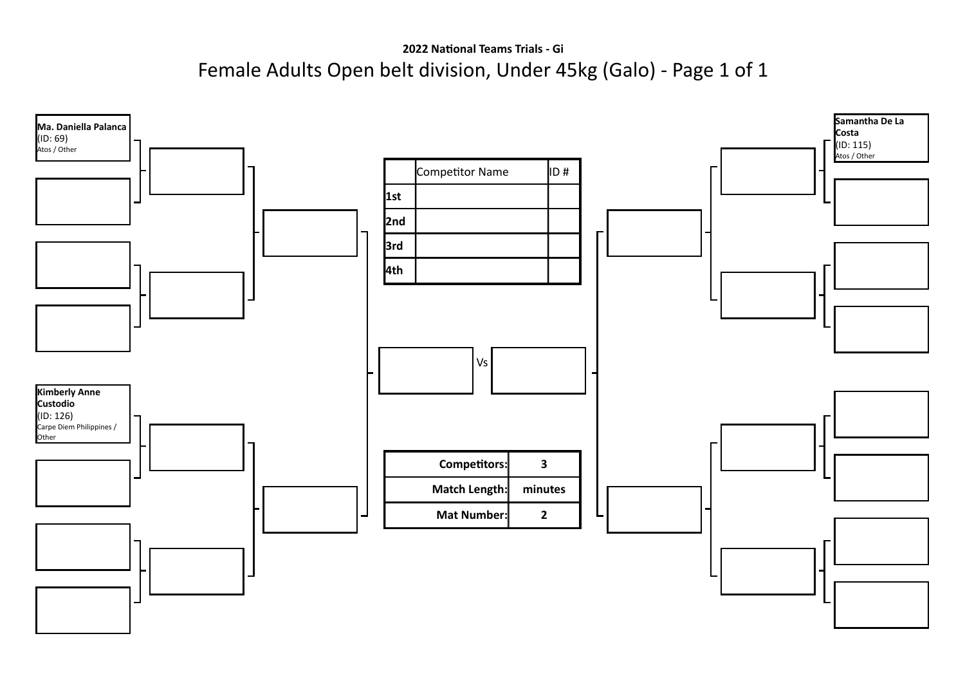## **2022 National Teams Trials - Gi** Female Adults Open belt division, Under 45kg (Galo) - Page 1 of 1

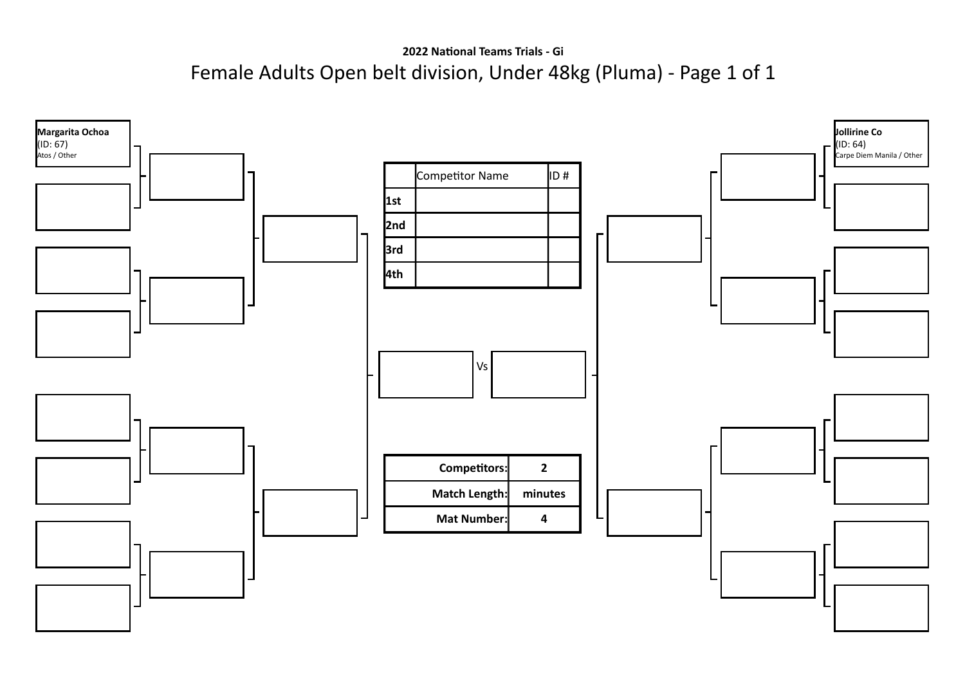**2022 National Teams Trials - Gi** Female Adults Open belt division, Under 48kg (Pluma) - Page 1 of 1

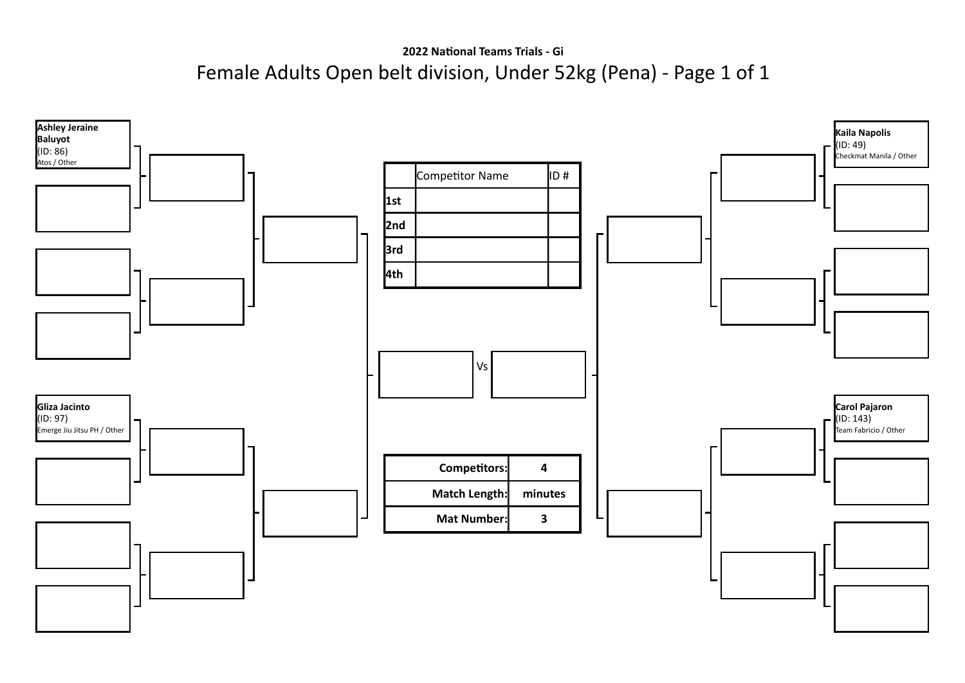**2022 National Teams Trials - Gi** Female Adults Open belt division, Under 52kg (Pena) - Page 1 of 1

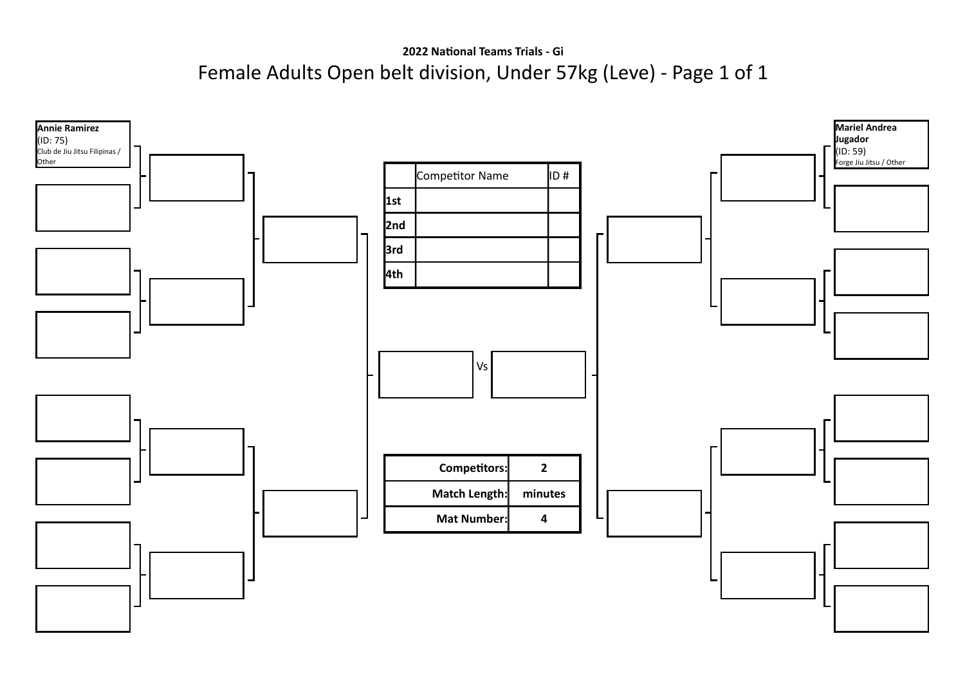**2022 National Teams Trials - Gi** Female Adults Open belt division, Under 57kg (Leve) - Page 1 of 1

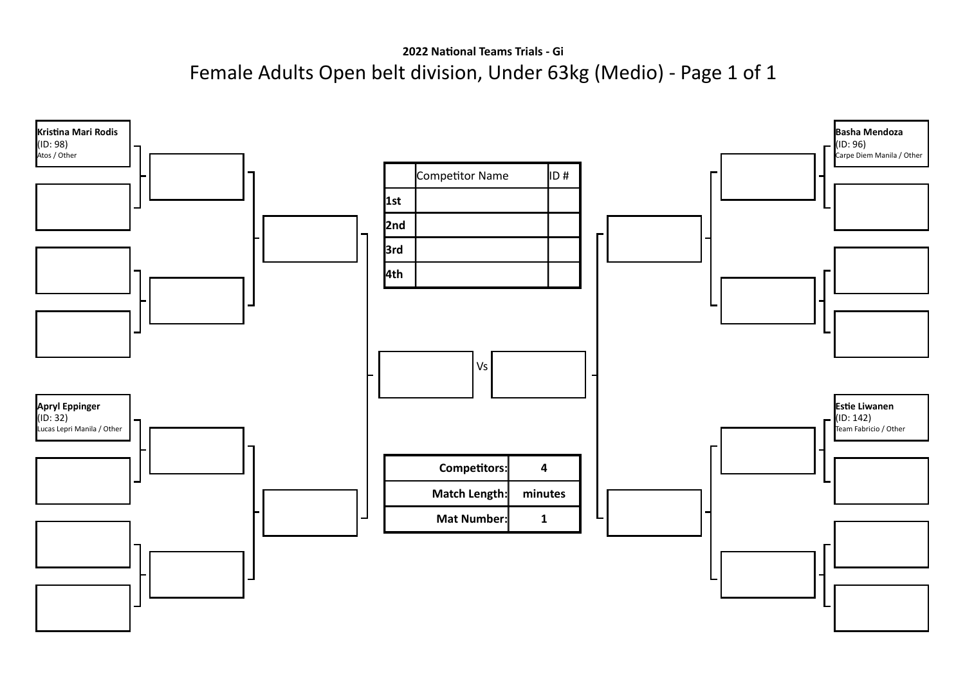**2022 National Teams Trials - Gi** Female Adults Open belt division, Under 63kg (Medio) - Page 1 of 1

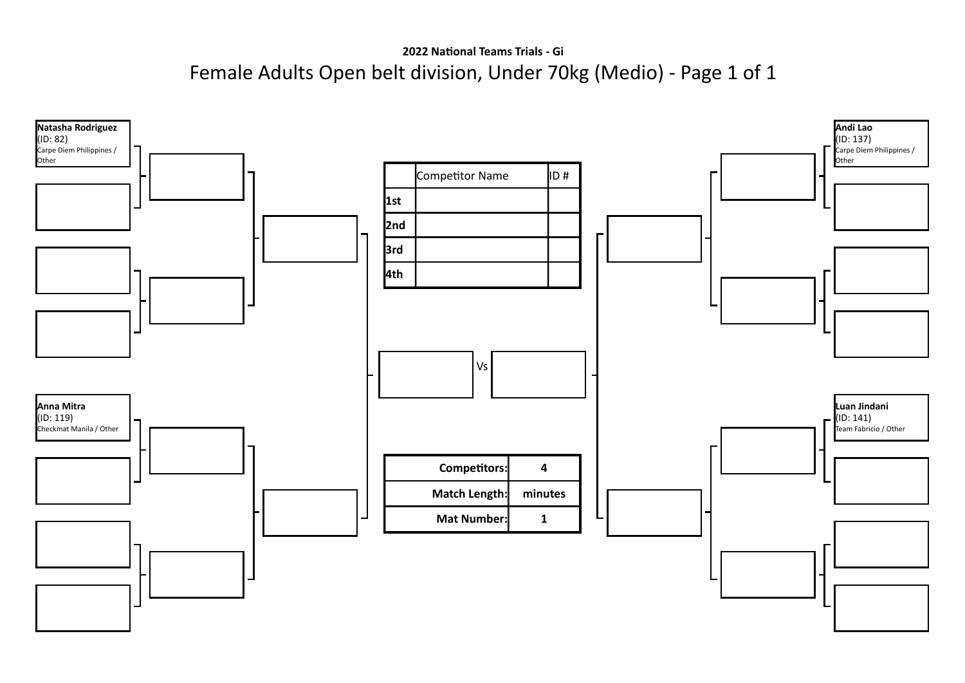**2022 National Teams Trials - Gi** Female Adults Open belt division, Under 70kg (Medio) - Page 1 of 1

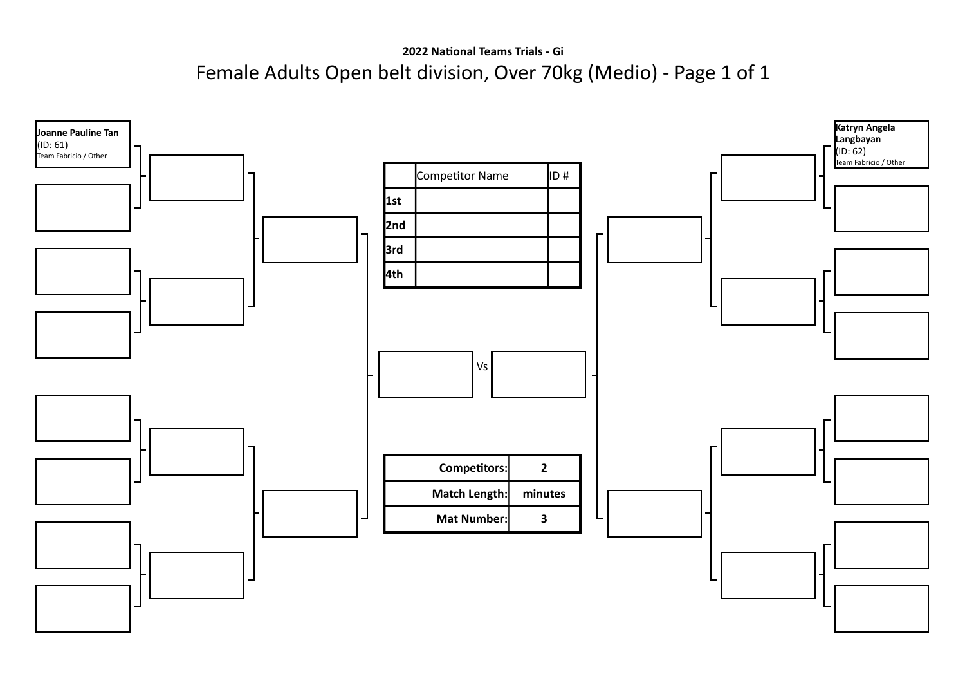**2022 National Teams Trials - Gi** Female Adults Open belt division, Over 70kg (Medio) - Page 1 of 1

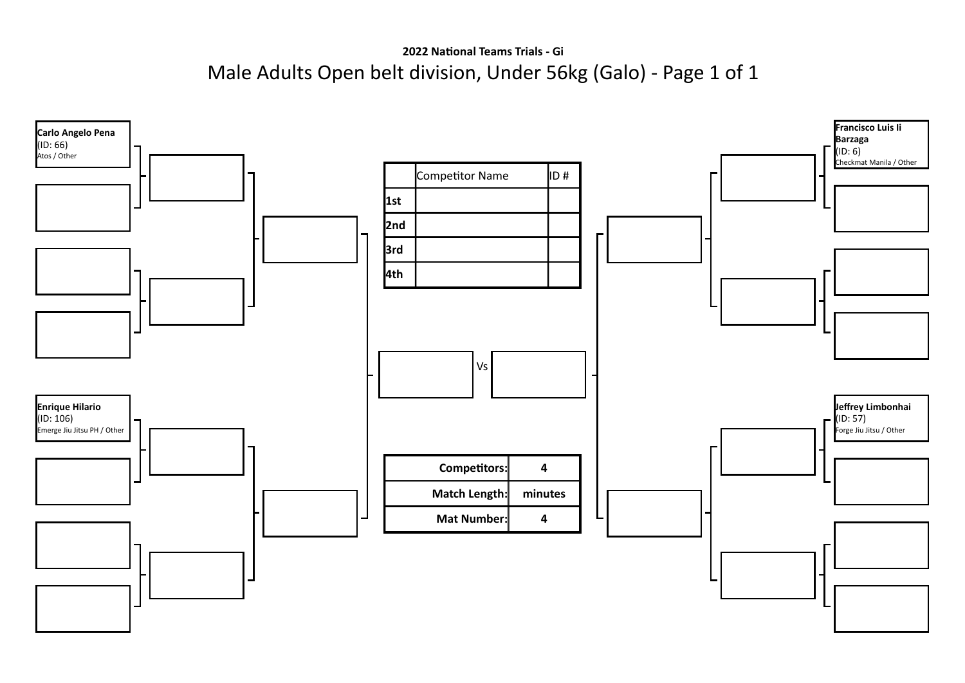**2022 National Teams Trials - Gi** Male Adults Open belt division, Under 56kg (Galo) - Page 1 of 1

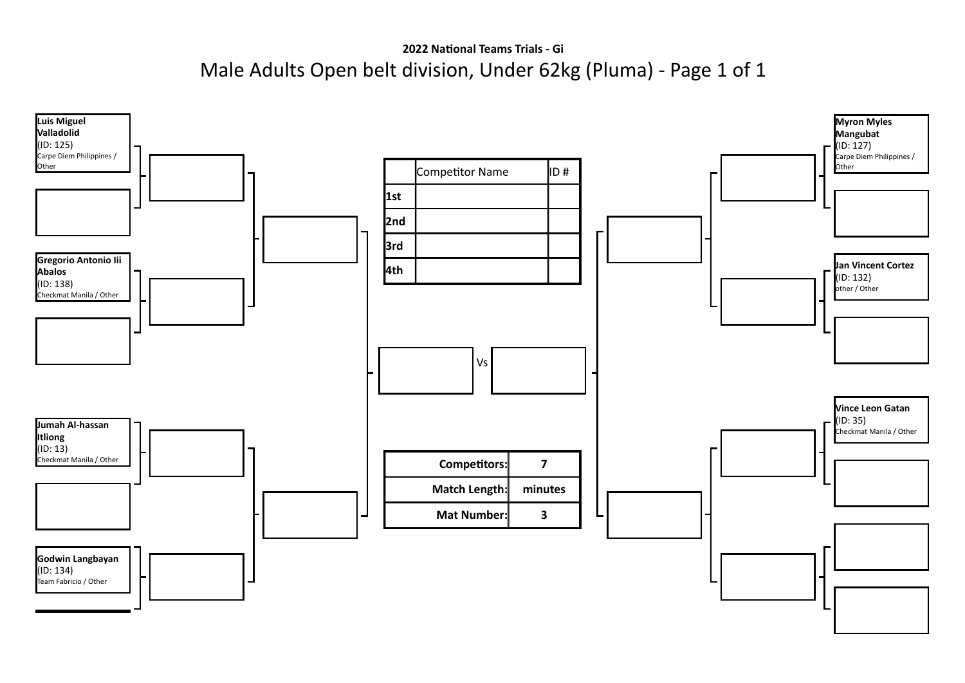## **2022 National Teams Trials - Gi** Male Adults Open belt division, Under 62kg (Pluma) - Page 1 of 1

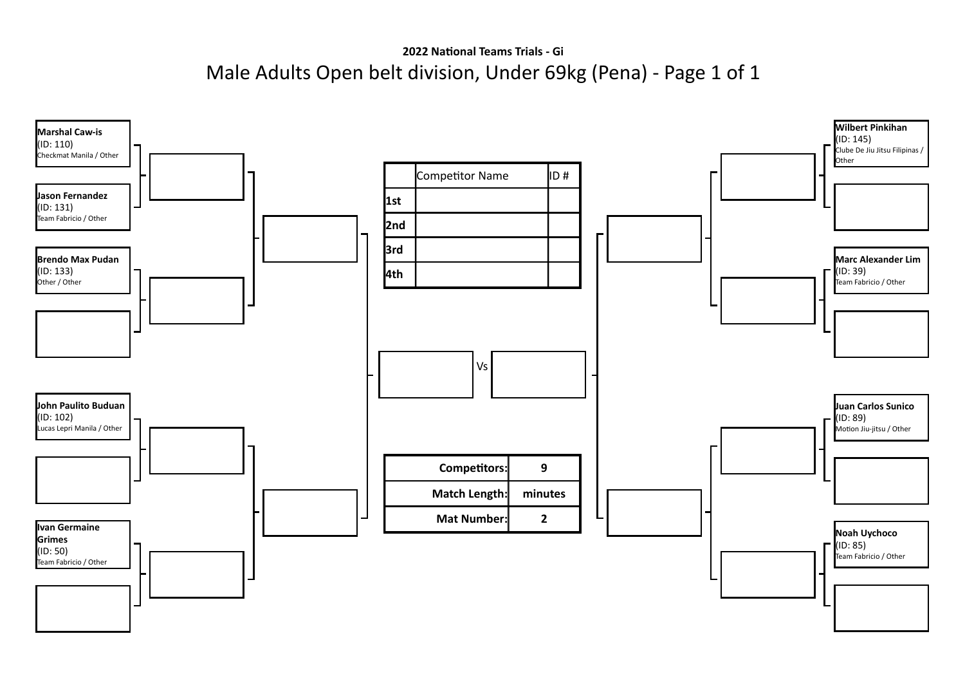**2022 National Teams Trials - Gi** Male Adults Open belt division, Under 69kg (Pena) - Page 1 of 1

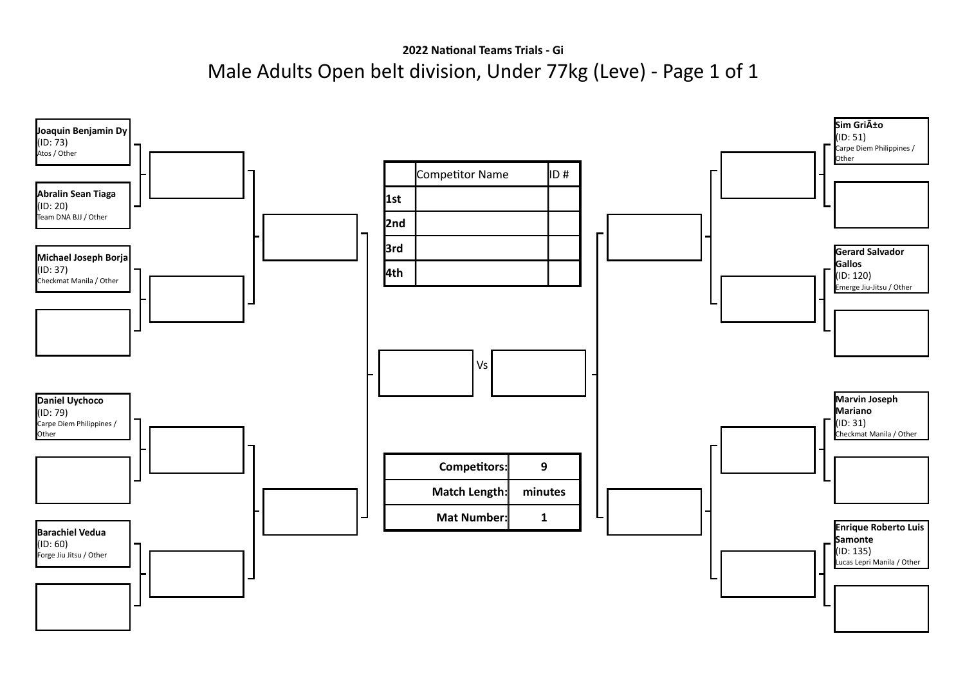**2022 National Teams Trials - Gi** Male Adults Open belt division, Under 77kg (Leve) - Page 1 of 1

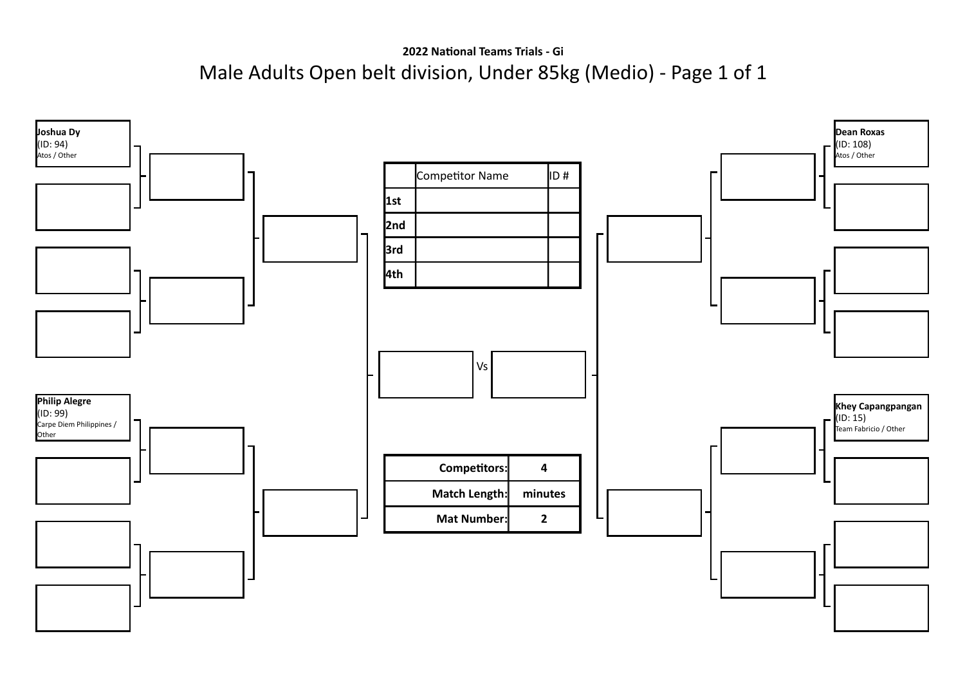**2022 National Teams Trials - Gi** Male Adults Open belt division, Under 85kg (Medio) - Page 1 of 1

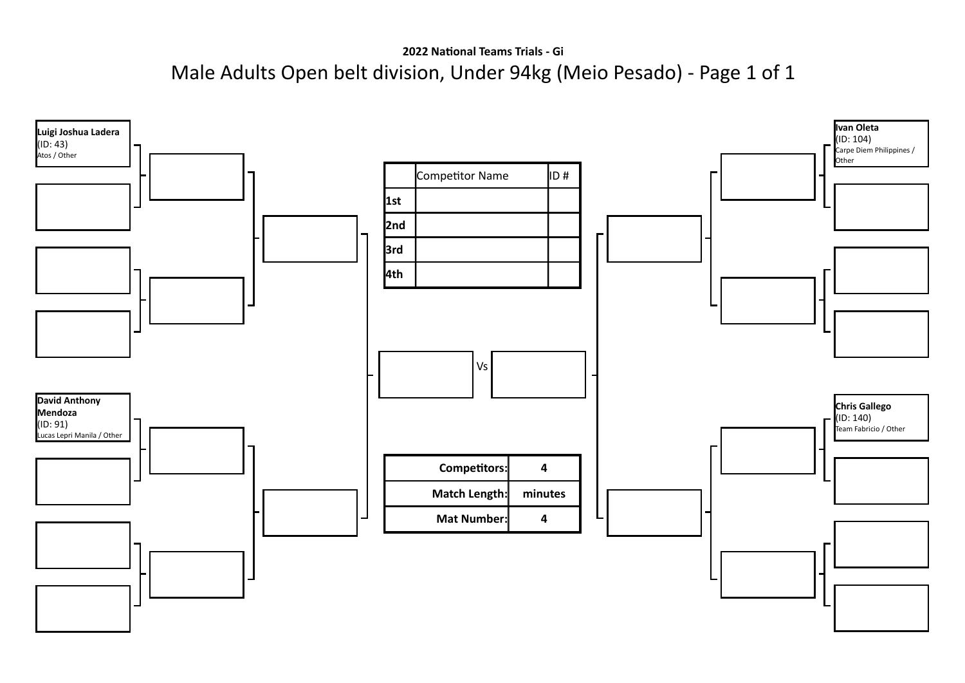**2022 National Teams Trials - Gi** Male Adults Open belt division, Under 94kg (Meio Pesado) - Page 1 of 1